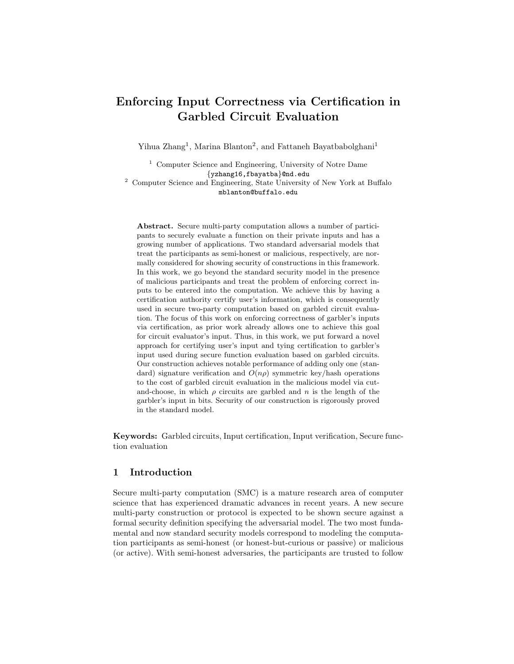# Enforcing Input Correctness via Certification in Garbled Circuit Evaluation

Yihua Zhang<sup>1</sup>, Marina Blanton<sup>2</sup>, and Fattaneh Bayatbabolghani<sup>1</sup>

 $^{\rm 1}$  Computer Science and Engineering, University of Notre Dame {yzhang16,fbayatba}@nd.edu <sup>2</sup> Computer Science and Engineering, State University of New York at Buffalo mblanton@buffalo.edu

Abstract. Secure multi-party computation allows a number of participants to securely evaluate a function on their private inputs and has a growing number of applications. Two standard adversarial models that treat the participants as semi-honest or malicious, respectively, are normally considered for showing security of constructions in this framework. In this work, we go beyond the standard security model in the presence of malicious participants and treat the problem of enforcing correct inputs to be entered into the computation. We achieve this by having a certification authority certify user's information, which is consequently used in secure two-party computation based on garbled circuit evaluation. The focus of this work on enforcing correctness of garbler's inputs via certification, as prior work already allows one to achieve this goal for circuit evaluator's input. Thus, in this work, we put forward a novel approach for certifying user's input and tying certification to garbler's input used during secure function evaluation based on garbled circuits. Our construction achieves notable performance of adding only one (standard) signature verification and  $O(n\rho)$  symmetric key/hash operations to the cost of garbled circuit evaluation in the malicious model via cutand-choose, in which  $\rho$  circuits are garbled and n is the length of the garbler's input in bits. Security of our construction is rigorously proved in the standard model.

Keywords: Garbled circuits, Input certification, Input verification, Secure function evaluation

### 1 Introduction

Secure multi-party computation (SMC) is a mature research area of computer science that has experienced dramatic advances in recent years. A new secure multi-party construction or protocol is expected to be shown secure against a formal security definition specifying the adversarial model. The two most fundamental and now standard security models correspond to modeling the computation participants as semi-honest (or honest-but-curious or passive) or malicious (or active). With semi-honest adversaries, the participants are trusted to follow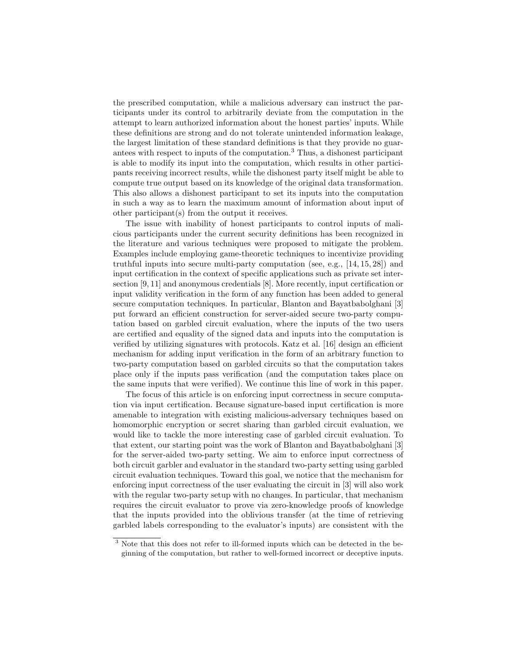the prescribed computation, while a malicious adversary can instruct the participants under its control to arbitrarily deviate from the computation in the attempt to learn authorized information about the honest parties' inputs. While these definitions are strong and do not tolerate unintended information leakage, the largest limitation of these standard definitions is that they provide no guarantees with respect to inputs of the computation.<sup>3</sup> Thus, a dishonest participant is able to modify its input into the computation, which results in other participants receiving incorrect results, while the dishonest party itself might be able to compute true output based on its knowledge of the original data transformation. This also allows a dishonest participant to set its inputs into the computation in such a way as to learn the maximum amount of information about input of other participant(s) from the output it receives.

The issue with inability of honest participants to control inputs of malicious participants under the current security definitions has been recognized in the literature and various techniques were proposed to mitigate the problem. Examples include employing game-theoretic techniques to incentivize providing truthful inputs into secure multi-party computation (see, e.g., [14, 15, 28]) and input certification in the context of specific applications such as private set intersection [9, 11] and anonymous credentials [8]. More recently, input certification or input validity verification in the form of any function has been added to general secure computation techniques. In particular, Blanton and Bayatbabolghani [3] put forward an efficient construction for server-aided secure two-party computation based on garbled circuit evaluation, where the inputs of the two users are certified and equality of the signed data and inputs into the computation is verified by utilizing signatures with protocols. Katz et al. [16] design an efficient mechanism for adding input verification in the form of an arbitrary function to two-party computation based on garbled circuits so that the computation takes place only if the inputs pass verification (and the computation takes place on the same inputs that were verified). We continue this line of work in this paper.

The focus of this article is on enforcing input correctness in secure computation via input certification. Because signature-based input certification is more amenable to integration with existing malicious-adversary techniques based on homomorphic encryption or secret sharing than garbled circuit evaluation, we would like to tackle the more interesting case of garbled circuit evaluation. To that extent, our starting point was the work of Blanton and Bayatbabolghani [3] for the server-aided two-party setting. We aim to enforce input correctness of both circuit garbler and evaluator in the standard two-party setting using garbled circuit evaluation techniques. Toward this goal, we notice that the mechanism for enforcing input correctness of the user evaluating the circuit in [3] will also work with the regular two-party setup with no changes. In particular, that mechanism requires the circuit evaluator to prove via zero-knowledge proofs of knowledge that the inputs provided into the oblivious transfer (at the time of retrieving garbled labels corresponding to the evaluator's inputs) are consistent with the

<sup>3</sup> Note that this does not refer to ill-formed inputs which can be detected in the beginning of the computation, but rather to well-formed incorrect or deceptive inputs.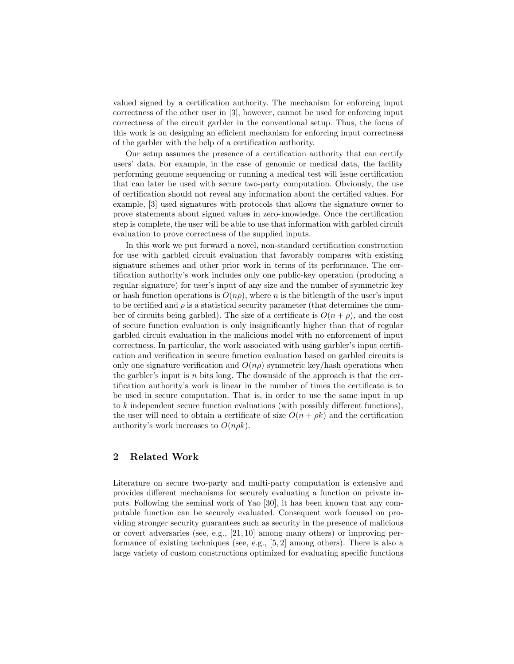valued signed by a certification authority. The mechanism for enforcing input correctness of the other user in [3], however, cannot be used for enforcing input correctness of the circuit garbler in the conventional setup. Thus, the focus of this work is on designing an efficient mechanism for enforcing input correctness of the garbler with the help of a certification authority.

Our setup assumes the presence of a certification authority that can certify users' data. For example, in the case of genomic or medical data, the facility performing genome sequencing or running a medical test will issue certification that can later be used with secure two-party computation. Obviously, the use of certification should not reveal any information about the certified values. For example, [3] used signatures with protocols that allows the signature owner to prove statements about signed values in zero-knowledge. Once the certification step is complete, the user will be able to use that information with garbled circuit evaluation to prove correctness of the supplied inputs.

In this work we put forward a novel, non-standard certification construction for use with garbled circuit evaluation that favorably compares with existing signature schemes and other prior work in terms of its performance. The certification authority's work includes only one public-key operation (producing a regular signature) for user's input of any size and the number of symmetric key or hash function operations is  $O(n\rho)$ , where n is the bitlength of the user's input to be certified and  $\rho$  is a statistical security parameter (that determines the number of circuits being garbled). The size of a certificate is  $O(n + \rho)$ , and the cost of secure function evaluation is only insignificantly higher than that of regular garbled circuit evaluation in the malicious model with no enforcement of input correctness. In particular, the work associated with using garbler's input certification and verification in secure function evaluation based on garbled circuits is only one signature verification and  $O(n\rho)$  symmetric key/hash operations when the garbler's input is  $n$  bits long. The downside of the approach is that the certification authority's work is linear in the number of times the certificate is to be used in secure computation. That is, in order to use the same input in up to k independent secure function evaluations (with possibly different functions), the user will need to obtain a certificate of size  $O(n + \rho k)$  and the certification authority's work increases to  $O(n\rho k)$ .

## 2 Related Work

Literature on secure two-party and multi-party computation is extensive and provides different mechanisms for securely evaluating a function on private inputs. Following the seminal work of Yao [30], it has been known that any computable function can be securely evaluated. Consequent work focused on providing stronger security guarantees such as security in the presence of malicious or covert adversaries (see, e.g., [21, 10] among many others) or improving performance of existing techniques (see, e.g., [5, 2] among others). There is also a large variety of custom constructions optimized for evaluating specific functions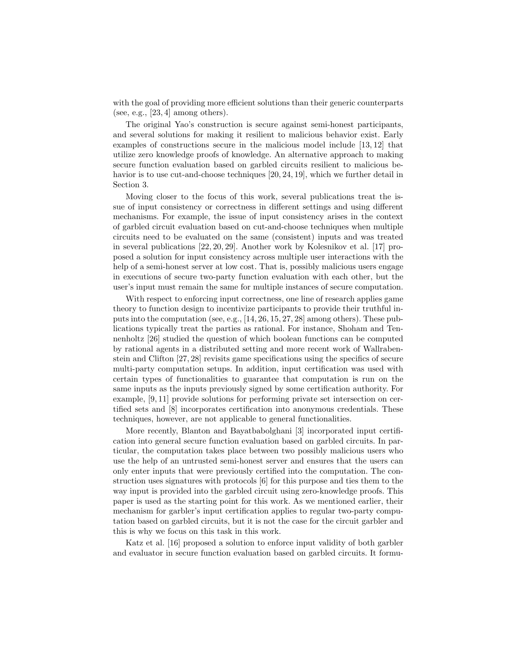with the goal of providing more efficient solutions than their generic counterparts (see, e.g.,  $[23, 4]$  among others).

The original Yao's construction is secure against semi-honest participants, and several solutions for making it resilient to malicious behavior exist. Early examples of constructions secure in the malicious model include [13, 12] that utilize zero knowledge proofs of knowledge. An alternative approach to making secure function evaluation based on garbled circuits resilient to malicious behavior is to use cut-and-choose techniques [20, 24, 19], which we further detail in Section 3.

Moving closer to the focus of this work, several publications treat the issue of input consistency or correctness in different settings and using different mechanisms. For example, the issue of input consistency arises in the context of garbled circuit evaluation based on cut-and-choose techniques when multiple circuits need to be evaluated on the same (consistent) inputs and was treated in several publications [22, 20, 29]. Another work by Kolesnikov et al. [17] proposed a solution for input consistency across multiple user interactions with the help of a semi-honest server at low cost. That is, possibly malicious users engage in executions of secure two-party function evaluation with each other, but the user's input must remain the same for multiple instances of secure computation.

With respect to enforcing input correctness, one line of research applies game theory to function design to incentivize participants to provide their truthful inputs into the computation (see, e.g., [14, 26, 15, 27, 28] among others). These publications typically treat the parties as rational. For instance, Shoham and Tennenholtz [26] studied the question of which boolean functions can be computed by rational agents in a distributed setting and more recent work of Wallrabenstein and Clifton [27, 28] revisits game specifications using the specifics of secure multi-party computation setups. In addition, input certification was used with certain types of functionalities to guarantee that computation is run on the same inputs as the inputs previously signed by some certification authority. For example, [9, 11] provide solutions for performing private set intersection on certified sets and [8] incorporates certification into anonymous credentials. These techniques, however, are not applicable to general functionalities.

More recently, Blanton and Bayatbabolghani [3] incorporated input certification into general secure function evaluation based on garbled circuits. In particular, the computation takes place between two possibly malicious users who use the help of an untrusted semi-honest server and ensures that the users can only enter inputs that were previously certified into the computation. The construction uses signatures with protocols [6] for this purpose and ties them to the way input is provided into the garbled circuit using zero-knowledge proofs. This paper is used as the starting point for this work. As we mentioned earlier, their mechanism for garbler's input certification applies to regular two-party computation based on garbled circuits, but it is not the case for the circuit garbler and this is why we focus on this task in this work.

Katz et al. [16] proposed a solution to enforce input validity of both garbler and evaluator in secure function evaluation based on garbled circuits. It formu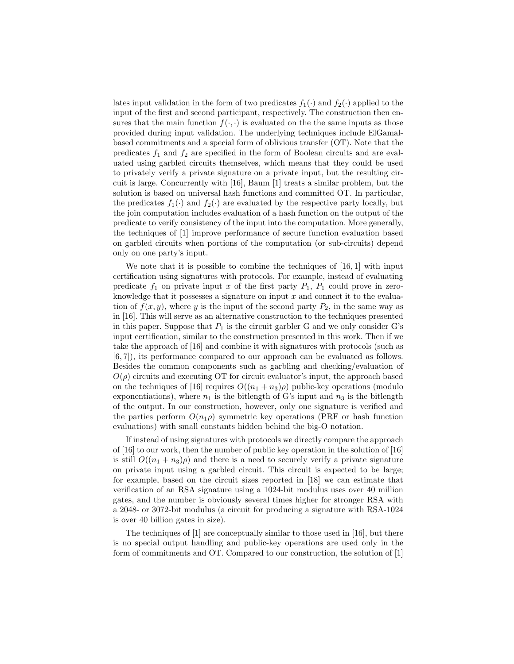lates input validation in the form of two predicates  $f_1(\cdot)$  and  $f_2(\cdot)$  applied to the input of the first and second participant, respectively. The construction then ensures that the main function  $f(\cdot, \cdot)$  is evaluated on the the same inputs as those provided during input validation. The underlying techniques include ElGamalbased commitments and a special form of oblivious transfer (OT). Note that the predicates  $f_1$  and  $f_2$  are specified in the form of Boolean circuits and are evaluated using garbled circuits themselves, which means that they could be used to privately verify a private signature on a private input, but the resulting circuit is large. Concurrently with [16], Baum [1] treats a similar problem, but the solution is based on universal hash functions and committed OT. In particular, the predicates  $f_1(\cdot)$  and  $f_2(\cdot)$  are evaluated by the respective party locally, but the join computation includes evaluation of a hash function on the output of the predicate to verify consistency of the input into the computation. More generally, the techniques of [1] improve performance of secure function evaluation based on garbled circuits when portions of the computation (or sub-circuits) depend only on one party's input.

We note that it is possible to combine the techniques of [16, 1] with input certification using signatures with protocols. For example, instead of evaluating predicate  $f_1$  on private input x of the first party  $P_1$ ,  $P_1$  could prove in zeroknowledge that it possesses a signature on input  $x$  and connect it to the evaluation of  $f(x, y)$ , where y is the input of the second party  $P_2$ , in the same way as in [16]. This will serve as an alternative construction to the techniques presented in this paper. Suppose that  $P_1$  is the circuit garbler G and we only consider G's input certification, similar to the construction presented in this work. Then if we take the approach of [16] and combine it with signatures with protocols (such as [6, 7]), its performance compared to our approach can be evaluated as follows. Besides the common components such as garbling and checking/evaluation of  $O(\rho)$  circuits and executing OT for circuit evaluator's input, the approach based on the techniques of [16] requires  $O((n_1 + n_3)\rho)$  public-key operations (modulo exponentiations), where  $n_1$  is the bitlength of G's input and  $n_3$  is the bitlength of the output. In our construction, however, only one signature is verified and the parties perform  $O(n_1\rho)$  symmetric key operations (PRF or hash function evaluations) with small constants hidden behind the big-O notation.

If instead of using signatures with protocols we directly compare the approach of [16] to our work, then the number of public key operation in the solution of [16] is still  $O((n_1 + n_3)\rho)$  and there is a need to securely verify a private signature on private input using a garbled circuit. This circuit is expected to be large; for example, based on the circuit sizes reported in [18] we can estimate that verification of an RSA signature using a 1024-bit modulus uses over 40 million gates, and the number is obviously several times higher for stronger RSA with a 2048- or 3072-bit modulus (a circuit for producing a signature with RSA-1024 is over 40 billion gates in size).

The techniques of [1] are conceptually similar to those used in [16], but there is no special output handling and public-key operations are used only in the form of commitments and OT. Compared to our construction, the solution of [1]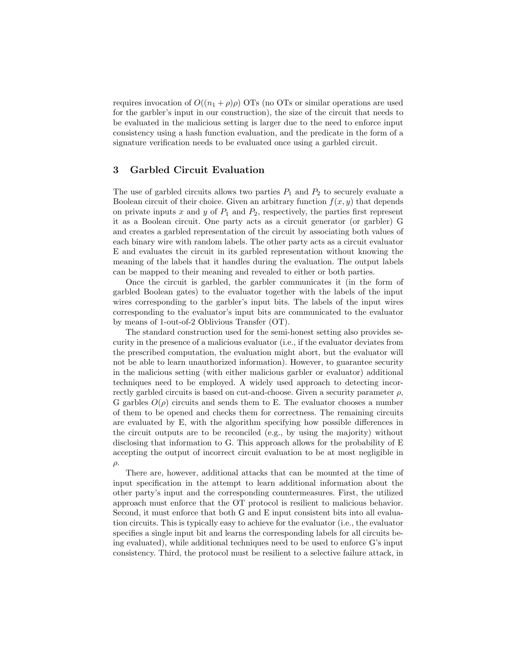requires invocation of  $O((n_1 + \rho)\rho)$  OTs (no OTs or similar operations are used for the garbler's input in our construction), the size of the circuit that needs to be evaluated in the malicious setting is larger due to the need to enforce input consistency using a hash function evaluation, and the predicate in the form of a signature verification needs to be evaluated once using a garbled circuit.

### 3 Garbled Circuit Evaluation

The use of garbled circuits allows two parties  $P_1$  and  $P_2$  to securely evaluate a Boolean circuit of their choice. Given an arbitrary function  $f(x, y)$  that depends on private inputs x and y of  $P_1$  and  $P_2$ , respectively, the parties first represent it as a Boolean circuit. One party acts as a circuit generator (or garbler) G and creates a garbled representation of the circuit by associating both values of each binary wire with random labels. The other party acts as a circuit evaluator E and evaluates the circuit in its garbled representation without knowing the meaning of the labels that it handles during the evaluation. The output labels can be mapped to their meaning and revealed to either or both parties.

Once the circuit is garbled, the garbler communicates it (in the form of garbled Boolean gates) to the evaluator together with the labels of the input wires corresponding to the garbler's input bits. The labels of the input wires corresponding to the evaluator's input bits are communicated to the evaluator by means of 1-out-of-2 Oblivious Transfer (OT).

The standard construction used for the semi-honest setting also provides security in the presence of a malicious evaluator (i.e., if the evaluator deviates from the prescribed computation, the evaluation might abort, but the evaluator will not be able to learn unauthorized information). However, to guarantee security in the malicious setting (with either malicious garbler or evaluator) additional techniques need to be employed. A widely used approach to detecting incorrectly garbled circuits is based on cut-and-choose. Given a security parameter  $\rho$ , G garbles  $O(\rho)$  circuits and sends them to E. The evaluator chooses a number of them to be opened and checks them for correctness. The remaining circuits are evaluated by E, with the algorithm specifying how possible differences in the circuit outputs are to be reconciled (e.g., by using the majority) without disclosing that information to G. This approach allows for the probability of E accepting the output of incorrect circuit evaluation to be at most negligible in  $ρ.$ 

There are, however, additional attacks that can be mounted at the time of input specification in the attempt to learn additional information about the other party's input and the corresponding countermeasures. First, the utilized approach must enforce that the OT protocol is resilient to malicious behavior. Second, it must enforce that both G and E input consistent bits into all evaluation circuits. This is typically easy to achieve for the evaluator (i.e., the evaluator specifies a single input bit and learns the corresponding labels for all circuits being evaluated), while additional techniques need to be used to enforce G's input consistency. Third, the protocol must be resilient to a selective failure attack, in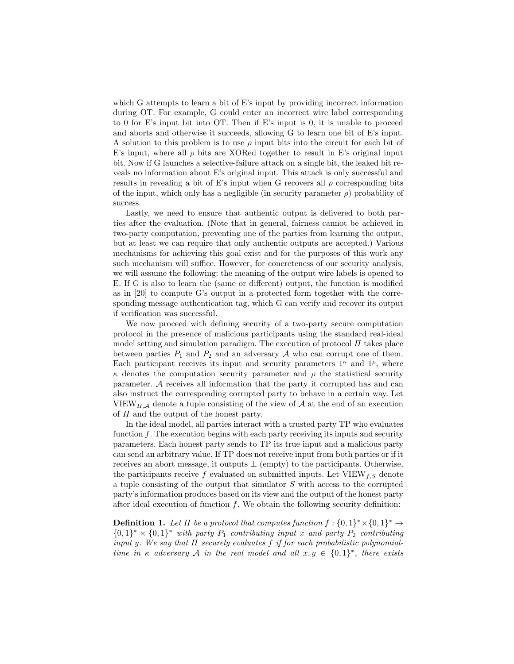which G attempts to learn a bit of E's input by providing incorrect information during OT. For example, G could enter an incorrect wire label corresponding to 0 for E's input bit into OT. Then if E's input is 0, it is unable to proceed and aborts and otherwise it succeeds, allowing G to learn one bit of E's input. A solution to this problem is to use  $\rho$  input bits into the circuit for each bit of E's input, where all  $\rho$  bits are XORed together to result in E's original input bit. Now if G launches a selective-failure attack on a single bit, the leaked bit reveals no information about E's original input. This attack is only successful and results in revealing a bit of E's input when G recovers all  $\rho$  corresponding bits of the input, which only has a negligible (in security parameter  $\rho$ ) probability of success.

Lastly, we need to ensure that authentic output is delivered to both parties after the evaluation. (Note that in general, fairness cannot be achieved in two-party computation, preventing one of the parties from learning the output, but at least we can require that only authentic outputs are accepted.) Various mechanisms for achieving this goal exist and for the purposes of this work any such mechanism will suffice. However, for concreteness of our security analysis, we will assume the following: the meaning of the output wire labels is opened to E. If G is also to learn the (same or different) output, the function is modified as in [20] to compute G's output in a protected form together with the corresponding message authentication tag, which G can verify and recover its output if verification was successful.

We now proceed with defining security of a two-party secure computation protocol in the presence of malicious participants using the standard real-ideal model setting and simulation paradigm. The execution of protocol  $\Pi$  takes place between parties  $P_1$  and  $P_2$  and an adversary  $A$  who can corrupt one of them. Each participant receives its input and security parameters  $1^{\kappa}$  and  $1^{\rho}$ , where  $\kappa$  denotes the computation security parameter and  $\rho$  the statistical security parameter. A receives all information that the party it corrupted has and can also instruct the corresponding corrupted party to behave in a certain way. Let VIEW<sub>II,A</sub> denote a tuple consisting of the view of A at the end of an execution of  $\Pi$  and the output of the honest party.

In the ideal model, all parties interact with a trusted party TP who evaluates function  $f$ . The execution begins with each party receiving its inputs and security parameters. Each honest party sends to TP its true input and a malicious party can send an arbitrary value. If TP does not receive input from both parties or if it receives an abort message, it outputs  $\perp$  (empty) to the participants. Otherwise, the participants receive  $f$  evaluated on submitted inputs. Let  $VIEW_{f,S}$  denote a tuple consisting of the output that simulator S with access to the corrupted party's information produces based on its view and the output of the honest party after ideal execution of function  $f$ . We obtain the following security definition:

**Definition 1.** Let  $\Pi$  be a protocol that computes function  $f: \{0,1\}^* \times \{0,1\}^* \to$  ${0,1}^* \times {0,1}^*$  with party  $P_1$  contributing input x and party  $P_2$  contributing input y. We say that  $\Pi$  securely evaluates  $f$  if for each probabilistic polynomialtime in  $\kappa$  adversary A in the real model and all  $x, y \in \{0,1\}^*$ , there exists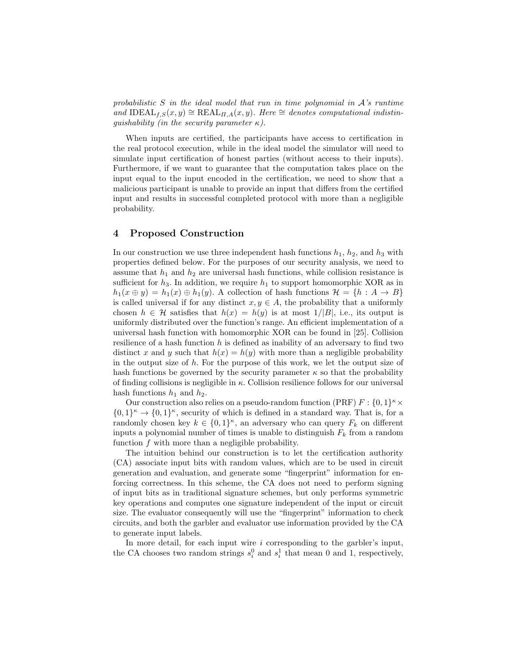probabilistic S in the ideal model that run in time polynomial in  $A$ 's runtime and IDEAL<sub>f,S</sub> $(x, y) \cong \text{REAL}_{\Pi,A}(x, y)$ . Here  $\cong$  denotes computational indistinguishability (in the security parameter  $\kappa$ ).

When inputs are certified, the participants have access to certification in the real protocol execution, while in the ideal model the simulator will need to simulate input certification of honest parties (without access to their inputs). Furthermore, if we want to guarantee that the computation takes place on the input equal to the input encoded in the certification, we need to show that a malicious participant is unable to provide an input that differs from the certified input and results in successful completed protocol with more than a negligible probability.

### 4 Proposed Construction

In our construction we use three independent hash functions  $h_1$ ,  $h_2$ , and  $h_3$  with properties defined below. For the purposes of our security analysis, we need to assume that  $h_1$  and  $h_2$  are universal hash functions, while collision resistance is sufficient for  $h_3$ . In addition, we require  $h_1$  to support homomorphic XOR as in  $h_1(x \oplus y) = h_1(x) \oplus h_1(y)$ . A collection of hash functions  $\mathcal{H} = \{h : A \rightarrow B\}$ is called universal if for any distinct  $x, y \in A$ , the probability that a uniformly chosen  $h \in \mathcal{H}$  satisfies that  $h(x) = h(y)$  is at most  $1/|B|$ , i.e., its output is uniformly distributed over the function's range. An efficient implementation of a universal hash function with homomorphic XOR can be found in [25]. Collision resilience of a hash function  $h$  is defined as inability of an adversary to find two distinct x and y such that  $h(x) = h(y)$  with more than a negligible probability in the output size of  $h$ . For the purpose of this work, we let the output size of hash functions be governed by the security parameter  $\kappa$  so that the probability of finding collisions is negligible in  $\kappa$ . Collision resilience follows for our universal hash functions  $h_1$  and  $h_2$ .

Our construction also relies on a pseudo-random function (PRF)  $F: \{0,1\}^{\kappa} \times$  $\{0,1\}^{\kappa} \to \{0,1\}^{\kappa}$ , security of which is defined in a standard way. That is, for a randomly chosen key  $k \in \{0,1\}^{\kappa}$ , an adversary who can query  $F_k$  on different inputs a polynomial number of times is unable to distinguish  $F_k$  from a random function  $f$  with more than a negligible probability.

The intuition behind our construction is to let the certification authority (CA) associate input bits with random values, which are to be used in circuit generation and evaluation, and generate some "fingerprint" information for enforcing correctness. In this scheme, the CA does not need to perform signing of input bits as in traditional signature schemes, but only performs symmetric key operations and computes one signature independent of the input or circuit size. The evaluator consequently will use the "fingerprint" information to check circuits, and both the garbler and evaluator use information provided by the CA to generate input labels.

In more detail, for each input wire  $i$  corresponding to the garbler's input, the CA chooses two random strings  $s_i^0$  and  $s_i^1$  that mean 0 and 1, respectively,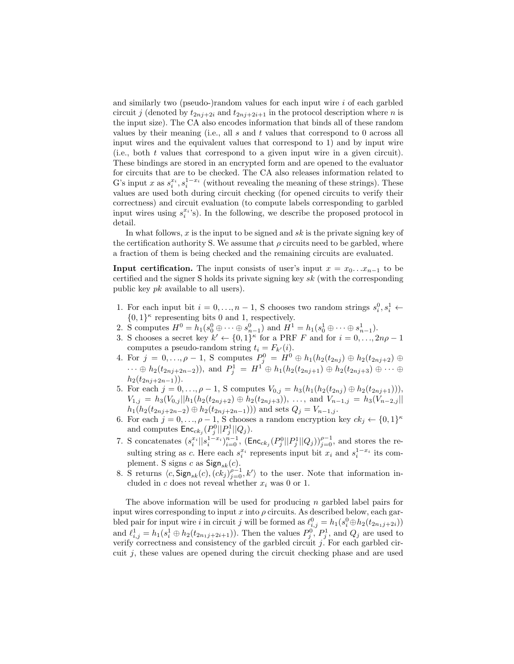and similarly two (pseudo-)random values for each input wire i of each garbled circuit j (denoted by  $t_{2nj+2i}$  and  $t_{2nj+2i+1}$  in the protocol description where n is the input size). The CA also encodes information that binds all of these random values by their meaning (i.e., all  $s$  and  $t$  values that correspond to  $0$  across all input wires and the equivalent values that correspond to 1) and by input wire (i.e., both t values that correspond to a given input wire in a given circuit). These bindings are stored in an encrypted form and are opened to the evaluator for circuits that are to be checked. The CA also releases information related to G's input x as  $s_i^{x_i}, s_i^{1-x_i}$  (without revealing the meaning of these strings). These values are used both during circuit checking (for opened circuits to verify their correctness) and circuit evaluation (to compute labels corresponding to garbled input wires using  $s_i^{x_i}$ 's). In the following, we describe the proposed protocol in detail.

In what follows,  $x$  is the input to be signed and  $sk$  is the private signing key of the certification authority S. We assume that  $\rho$  circuits need to be garbled, where a fraction of them is being checked and the remaining circuits are evaluated.

**Input certification.** The input consists of user's input  $x = x_0...x_{n-1}$  to be certified and the signer S holds its private signing key sk (with the corresponding public key pk available to all users).

- 1. For each input bit  $i = 0, ..., n 1$ , S chooses two random strings  $s_i^0, s_i^1 \leftarrow$  $\{0,1\}^{\kappa}$  representing bits 0 and 1, respectively.
- 2. S computes  $H^0 = h_1(s_0^0 \oplus \cdots \oplus s_{n-1}^0)$  and  $H^1 = h_1(s_0^1 \oplus \cdots \oplus s_{n-1}^1)$ .
- 3. S chooses a secret key  $k' \leftarrow \{0,1\}^{\kappa}$  for a PRF F and for  $i = 0, ..., 2n\rho 1$ computes a pseudo-random string  $t_i = F_{k'}(i)$ .
- 4. For  $j = 0, ..., \rho 1$ , S computes  $P_j^0 = H^0 \oplus h_1(h_2(t_{2nj}) \oplus h_2(t_{2nj+2}) \oplus$  $\dots \oplus h_2(t_{2nj+2n-2})$ , and  $P_j^1 = H^1 \oplus h_1(h_2(t_{2nj+1}) \oplus h_2(t_{2nj+3}) \oplus \dots \oplus h_n)$  $h_2(t_{2nj+2n-1})).$
- 5. For each  $j = 0, ..., \rho 1$ , S computes  $V_{0,j} = h_3(h_1(h_2(t_{2nj}) \oplus h_2(t_{2nj+1}))),$  $V_{1,j} = h_3(V_{0,j} || h_1(h_2(t_{2nj+2}) \oplus h_2(t_{2nj+3})), \ldots, \text{ and } V_{n-1,j} = h_3(V_{n-2,j} ||$  $h_1(h_2(t_{2nj+2n-2}) \oplus h_2(t_{2nj+2n-1})))$  and sets  $Q_j = V_{n-1,j}$ .
- 6. For each  $j = 0, \ldots, \rho 1$ , S chooses a random encryption key  $ck_j \leftarrow \{0, 1\}^{\kappa}$ and computes  $\mathsf{Enc}_{ck_j}(P_j^0||P_j^1||Q_j)$ .
- 7. S concatenates  $(s_i^{x_i}||s_i^{1-x_i})_{i=0}^{n-1}$ ,  $(\text{Enc}_{ck_j}(P_j^0||P_j^1||Q_j))_{j=0}^{\rho-1}$ , and stores the resulting string as c. Here each  $s_i^{x_i}$  represents input bit  $x_i$  and  $s_i^{1-x_i}$  its complement. S signs c as  $\textsf{Sign}_{sk}(c)$ .
- 8. S returns  $\langle c, \text{Sign}_{sk}(c), (ck_j)_{j=0}^{\rho-1}, k' \rangle$  to the user. Note that information included in  $c$  does not reveal whether  $x_i$  was 0 or 1.

The above information will be used for producing  $n$  garbled label pairs for input wires corresponding to input x into  $\rho$  circuits. As described below, each garbled pair for input wire *i* in circuit *j* will be formed as  $\ell_{i,j}^0 = h_1(s_i^0 \oplus h_2(t_{2n_1j+2i}))$ and  $\ell_{i,j}^1 = h_1(s_i^1 \oplus h_2(t_{2n_1j+2i+1}))$ . Then the values  $P_j^0$ ,  $P_j^1$ , and  $Q_j$  are used to verify correctness and consistency of the garbled circuit  $j$ . For each garbled circuit  $j$ , these values are opened during the circuit checking phase and are used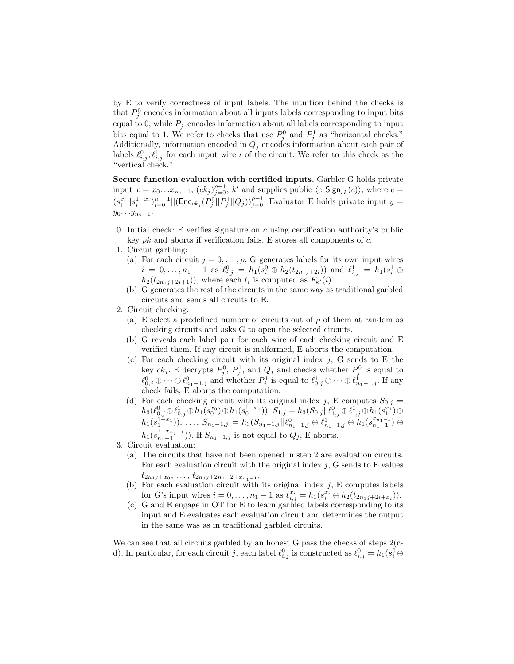by E to verify correctness of input labels. The intuition behind the checks is that  $P_j^0$  encodes information about all inputs labels corresponding to input bits equal to 0, while  $P_j^1$  encodes information about all labels corresponding to input bits equal to 1. We refer to checks that use  $P_j^0$  and  $P_j^1$  as "horizontal checks." Additionally, information encoded in  $Q_i$  encodes information about each pair of labels  $\ell_{i,j}^0, \ell_{i,j}^1$  for each input wire i of the circuit. We refer to this check as the "vertical check."

Secure function evaluation with certified inputs. Garbler G holds private input  $x = x_0 \dots x_{n_1-1}$ ,  $(ck_j)_{j=0}^{\rho-1}$ , k' and supplies public  $\langle c, \text{Sign}_{sk}(c) \rangle$ , where  $c =$  $(s_i^{x_i}||s_i^{1-x_i})_{i=0}^{n_1-1}||(\text{Enc}_{ck_j}(P_j^0||P_j^1||Q_j))_{j=0}^{\rho-1}$ . Evaluator E holds private input  $y=$  $y_0 \ldots y_{n_2-1}$ .

- 0. Initial check: E verifies signature on  $c$  using certification authority's public key  $pk$  and aborts if verification fails. E stores all components of  $c$ .
- 1. Circuit garbling:
	- (a) For each circuit  $j = 0, \ldots, \rho$ , G generates labels for its own input wires  $i = 0, \ldots, n_1 - 1$  as  $\ell_{i,j}^0 = h_1(s_i^0 \oplus h_2(t_{2n_1j+2i}))$  and  $\ell_{i,j}^1 = h_1(s_i^1 \oplus$  $h_2(t_{2n_1j+2i+1})$ , where each  $t_i$  is computed as  $F_{k'}(i)$ .
	- (b) G generates the rest of the circuits in the same way as traditional garbled circuits and sends all circuits to E.
- 2. Circuit checking:
	- (a) E select a predefined number of circuits out of  $\rho$  of them at random as checking circuits and asks G to open the selected circuits.
	- (b) G reveals each label pair for each wire of each checking circuit and E verified them. If any circuit is malformed, E aborts the computation.
	- (c) For each checking circuit with its original index  $j$ , G sends to E the key  $ck_j$ . E decrypts  $P_j^0$ ,  $P_j^1$ , and  $Q_j$  and checks whether  $P_j^0$  is equal to  $\ell^0_{0,j} \oplus \cdots \oplus \ell^0_{n_1-1,j}$  and whether  $P^1_j$  is equal to  $\ell^1_{0,j} \oplus \cdots \oplus \ell^1_{n_1-1,j}$ . If any check fails, E aborts the computation.
	- (d) For each checking circuit with its original index j, E computes  $S_{0,j}$  =  $h_3(\ell^0_{0,j} \oplus \ell^1_{0,j} \oplus h_1(s_0^{x_0}) \oplus h_1(s_0^{1-x_0})), S_{1,j} = h_3(S_{0,j} || \ell^0_{1,j} \oplus \ell^1_{1,j} \oplus h_1(s_1^{x_1}) \oplus$  $h_1(s_1^{1-x_1})), \ldots, S_{n_1-1,j} = h_3(S_{n_1-1,j} || \ell_{n_1-1,j}^0 \oplus \ell_{n_1-1,j}^1 \oplus h_1(s_{n_1-1}^{x_{n_1-1}}) \oplus$  $h_1(s_{n_1-1}^{1-x_{n_1-1}})$ ). If  $S_{n_1-1,j}$  is not equal to  $Q_j$ , E aborts.
- 3. Circuit evaluation:
	- (a) The circuits that have not been opened in step 2 are evaluation circuits. For each evaluation circuit with the original index  $j$ , G sends to E values  $t_{2n_1j+x_0}, \ldots, t_{2n_1j+2n_1-2+x_{n_1-1}}.$
	- (b) For each evaluation circuit with its original index  $j$ , E computes labels for G's input wires  $i = 0, ..., n_1 - 1$  as  $\ell_{i,j}^{x_i} = h_1(s_i^{x_i} \oplus h_2(t_{2n_1j+2i+x_i}))$ .
	- (c) G and E engage in OT for E to learn garbled labels corresponding to its input and E evaluates each evaluation circuit and determines the output in the same was as in traditional garbled circuits.

We can see that all circuits garbled by an honest G pass the checks of steps  $2(c$ d). In particular, for each circuit j, each label  $\ell_{i,j}^0$  is constructed as  $\ell_{i,j}^0 = h_1(s_i^0 \oplus$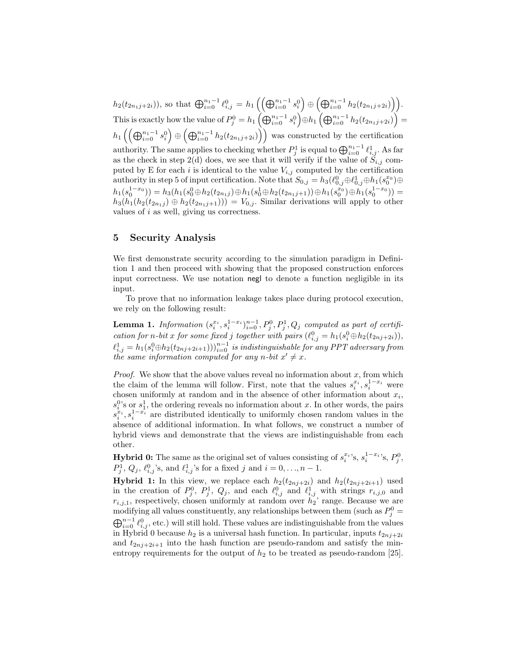$h_2(t_{2n_1j+2i})$ , so that  $\bigoplus_{i=0}^{n_1-1} \ell_{i,j}^0 = h_1\left(\left(\bigoplus_{i=0}^{n_1-1} s_i^0\right) \oplus \left(\bigoplus_{i=0}^{n_1-1} h_2(t_{2n_1j+2i})\right)\right)$ . This is exactly how the value of  $P_j^0 = h_1 \left( \bigoplus_{i=0}^{n_1-1} s_i^0 \right) \oplus h_1 \left( \bigoplus_{i=0}^{n_1-1} h_2(t_{2n_1j+2i}) \right) =$  $h_1\left(\left(\bigoplus_{i=0}^{n_1-1} s_i^0\right) \oplus \left(\bigoplus_{i=0}^{n_1-1} h_2(t_{2n_1j+2i})\right)\right)$  was constructed by the certification authority. The same applies to checking whether  $P_j^1$  is equal to  $\bigoplus_{i=0}^{n_1-1} \ell_{i,j}^1$ . As far as the check in step 2(d) does, we see that it will verify if the value of  $S_{i,j}$  computed by E for each i is identical to the value  $V_{i,j}$  computed by the certification authority in step 5 of input certification. Note that  $S_{0,j} = h_3(\ell_{0,j}^0 \oplus \ell_{0,j}^1 \oplus h_1(s_0^{x_0}) \oplus$  $h_1(s_0^{1-x_0})) = h_3(h_1(s_0^0 \oplus h_2(t_{2n_1j}) \oplus h_1(s_0^1 \oplus h_2(t_{2n_1j+1})) \oplus h_1(s_0^{x_0}) \oplus h_1(s_0^{1-x_0})) =$  $h_3(h_1(h_2(t_{2n_1j}) \oplus h_2(t_{2n_1j+1}))) = V_{0,j}$ . Similar derivations will apply to other values of  $i$  as well, giving us correctness.

### 5 Security Analysis

We first demonstrate security according to the simulation paradigm in Definition 1 and then proceed with showing that the proposed construction enforces input correctness. We use notation negl to denote a function negligible in its input.

To prove that no information leakage takes place during protocol execution, we rely on the following result:

**Lemma 1.** Information  $(s_i^x, s_i^{1-x_i})_{i=0}^{n-1}, P_j^0, P_j^1, Q_j$  computed as part of certification for n-bit x for some fixed j together with pairs  $(\ell_{i,j}^0 = h_1(s_i^0 \oplus h_2(t_{2nj+2i}))$ ,  $\ell_{i,j}^1=h_1(s_i^0 \oplus h_2(t_{2nj+2i+1})))_{i=0}^{n-1}$  is indistinguishable for any PPT adversary from the same information computed for any n-bit  $x' \neq x$ .

*Proof.* We show that the above values reveal no information about  $x$ , from which the claim of the lemma will follow. First, note that the values  $s_i^{x_i}, s_i^{1-x_i}$  were chosen uniformly at random and in the absence of other information about  $x_i$ ,  $s_i^0$ 's or  $s_1^1$ , the ordering reveals no information about x. In other words, the pairs  $s_i^{x_i}, s_i^{1-x_i}$  are distributed identically to uniformly chosen random values in the absence of additional information. In what follows, we construct a number of hybrid views and demonstrate that the views are indistinguishable from each other.

**Hybrid 0:** The same as the original set of values consisting of  $s_i^{x_i}$ 's,  $s_i^{1-x_i}$ 's,  $P_j^0$ ,  $P_j^1, Q_j, \ell_{i,j}^0$ 's, and  $\ell_{i,j}^1$ 's for a fixed j and  $i = 0, ..., n - 1$ .

**Hybrid 1:** In this view, we replace each  $h_2(t_{2nj+2i})$  and  $h_2(t_{2nj+2i+1})$  used in the creation of  $P_j^0$ ,  $P_j^1$ ,  $Q_j$ , and each  $\ell_{i,j}^0$  and  $\ell_{i,j}^1$  with strings  $r_{i,j,0}$  and  $r_{i,j,1}$ , respectively, chosen uniformly at random over  $h_2$ ' range. Because we are modifying all values constituently, any relationships between them (such as  $P_j^0$  =  $\bigoplus_{i=0}^{n-1} \ell_{i,j}^0$ , etc.) will still hold. These values are indistinguishable from the values in Hybrid 0 because  $h_2$  is a universal hash function. In particular, inputs  $t_{2nj+2i}$ and  $t_{2n,j+2i+1}$  into the hash function are pseudo-random and satisfy the minentropy requirements for the output of  $h_2$  to be treated as pseudo-random [25].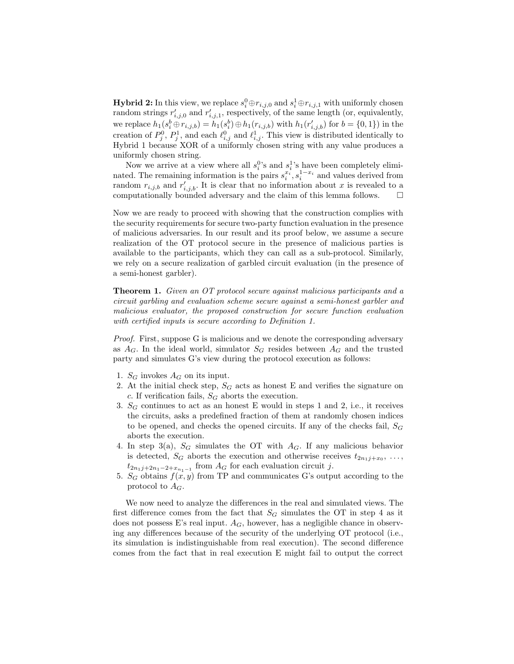**Hybrid 2:** In this view, we replace  $s_i^0 \oplus r_{i,j,0}$  and  $s_i^1 \oplus r_{i,j,1}$  with uniformly chosen random strings  $r'_{i,j,0}$  and  $r'_{i,j,1}$ , respectively, of the same length (or, equivalently, we replace  $h_1(s_i^b \oplus r_{i,j,b}) = h_1(s_i^b) \oplus h_1(r_{i,j,b})$  with  $h_1(r'_{i,j,b})$  for  $b = \{0,1\}$ ) in the creation of  $P_j^0$ ,  $P_j^1$ , and each  $\ell_{i,j}^0$  and  $\ell_{i,j}^1$ . This view is distributed identically to Hybrid 1 because XOR of a uniformly chosen string with any value produces a uniformly chosen string.

Now we arrive at a view where all  $s_i^0$ 's and  $s_i^1$ 's have been completely eliminated. The remaining information is the pairs  $s_i^{x_i}, s_i^{1-x_i}$  and values derived from random  $r_{i,j,b}$  and  $r'_{i,j,b}$ . It is clear that no information about x is revealed to a computationally bounded adversary and the claim of this lemma follows.  $\Box$ 

Now we are ready to proceed with showing that the construction complies with the security requirements for secure two-party function evaluation in the presence of malicious adversaries. In our result and its proof below, we assume a secure realization of the OT protocol secure in the presence of malicious parties is available to the participants, which they can call as a sub-protocol. Similarly, we rely on a secure realization of garbled circuit evaluation (in the presence of a semi-honest garbler).

Theorem 1. Given an OT protocol secure against malicious participants and a circuit garbling and evaluation scheme secure against a semi-honest garbler and malicious evaluator, the proposed construction for secure function evaluation with certified inputs is secure according to Definition 1.

Proof. First, suppose G is malicious and we denote the corresponding adversary as  $A_G$ . In the ideal world, simulator  $S_G$  resides between  $A_G$  and the trusted party and simulates G's view during the protocol execution as follows:

- 1.  $S_G$  invokes  $A_G$  on its input.
- 2. At the initial check step,  $S_G$  acts as honest E and verifies the signature on c. If verification fails,  $S_G$  aborts the execution.
- 3.  $S_G$  continues to act as an honest E would in steps 1 and 2, i.e., it receives the circuits, asks a predefined fraction of them at randomly chosen indices to be opened, and checks the opened circuits. If any of the checks fail,  $S_G$ aborts the execution.
- 4. In step 3(a),  $S_G$  simulates the OT with  $A_G$ . If any malicious behavior is detected,  $S_G$  aborts the execution and otherwise receives  $t_{2n_1j+x_0}, \ldots,$  $t_{2n_1j+2n_1-2+x_{n_1-1}}$  from  $A_G$  for each evaluation circuit j.
- 5.  $S_G$  obtains  $f(x, y)$  from TP and communicates G's output according to the protocol to  $A_G$ .

We now need to analyze the differences in the real and simulated views. The first difference comes from the fact that  $S_G$  simulates the OT in step 4 as it does not possess E's real input.  $A_G$ , however, has a negligible chance in observing any differences because of the security of the underlying OT protocol (i.e., its simulation is indistinguishable from real execution). The second difference comes from the fact that in real execution E might fail to output the correct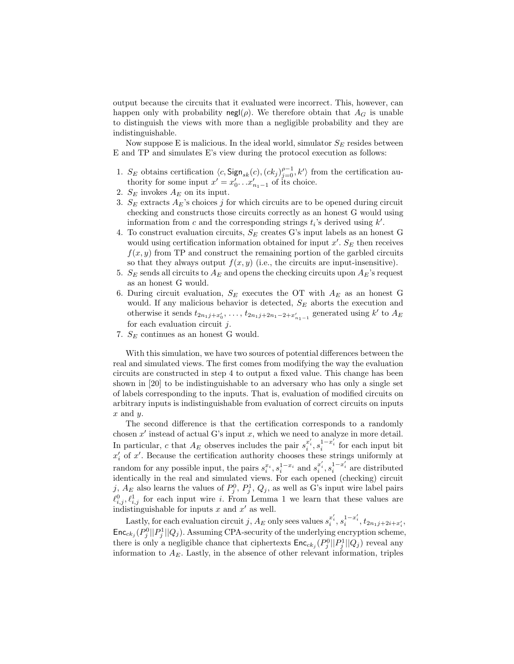output because the circuits that it evaluated were incorrect. This, however, can happen only with probability negl( $\rho$ ). We therefore obtain that  $A_G$  is unable to distinguish the views with more than a negligible probability and they are indistinguishable.

Now suppose E is malicious. In the ideal world, simulator  $S_E$  resides between E and TP and simulates E's view during the protocol execution as follows:

- 1.  $S_E$  obtains certification  $\langle c, \mathsf{Sign}_{sk}(c), (ck_j)_{j=0}^{\rho-1}, k' \rangle$  from the certification authority for some input  $x' = x'_0 \dots x'_{n_1-1}$  of its choice.
- 2.  $S_E$  invokes  $A_E$  on its input.
- 3.  $S_E$  extracts  $A_E$ 's choices j for which circuits are to be opened during circuit checking and constructs those circuits correctly as an honest G would using information from c and the corresponding strings  $t_i$ 's derived using  $k'$ .
- 4. To construct evaluation circuits,  $S_E$  creates G's input labels as an honest G would using certification information obtained for input  $x'$ .  $S_E$  then receives  $f(x, y)$  from TP and construct the remaining portion of the garbled circuits so that they always output  $f(x, y)$  (i.e., the circuits are input-insensitive).
- 5.  $S_E$  sends all circuits to  $A_E$  and opens the checking circuits upon  $A_E$ 's request as an honest G would.
- 6. During circuit evaluation,  $S_E$  executes the OT with  $A_E$  as an honest G would. If any malicious behavior is detected,  $S_E$  aborts the execution and otherwise it sends  $t_{2n_1j+x'_0}, \ldots, t_{2n_1j+2n_1-2+x'_{n_1-1}}$  generated using  $k'$  to  $A_E$ for each evaluation circuit  $j$ .
- 7.  $S_E$  continues as an honest G would.

With this simulation, we have two sources of potential differences between the real and simulated views. The first comes from modifying the way the evaluation circuits are constructed in step 4 to output a fixed value. This change has been shown in [20] to be indistinguishable to an adversary who has only a single set of labels corresponding to the inputs. That is, evaluation of modified circuits on arbitrary inputs is indistinguishable from evaluation of correct circuits on inputs  $x$  and  $y$ .

The second difference is that the certification corresponds to a randomly chosen  $x'$  instead of actual G's input  $x$ , which we need to analyze in more detail. In particular, c that  $A_E$  observes includes the pair  $s_i^{x_i'}, s_i^{1-x_i'}$  for each input bit  $x_i'$  of  $x'$ . Because the certification authority chooses these strings uniformly at random for any possible input, the pairs  $s_i^{x_i}, s_i^{1-x_i}$  and  $s_i^{x_i'}, s_i^{1-x_i'}$  are distributed identically in the real and simulated views. For each opened (checking) circuit j,  $A_E$  also learns the values of  $P_j^0$ ,  $P_j^1$ ,  $Q_j$ , as well as G's input wire label pairs  $\ell_{i,j}^0, \ell_{i,j}^1$  for each input wire i. From Lemma 1 we learn that these values are indistinguishable for inputs x and  $x'$  as well.

Lastly, for each evaluation circuit j,  $A_E$  only sees values  $s_i^{x_i'}, s_i^{1-x_i'}, t_{2n_1j+2i+x_i'}$ ,  $\mathsf{Enc}_{ck_j}(P_j^0||P_j^1||Q_j)$ . Assuming CPA-security of the underlying encryption scheme, there is only a negligible chance that ciphertexts  $\mathsf{Enc}_{ck_j}(P_j^0||P_j^1||Q_j)$  reveal any information to  $A_E$ . Lastly, in the absence of other relevant information, triples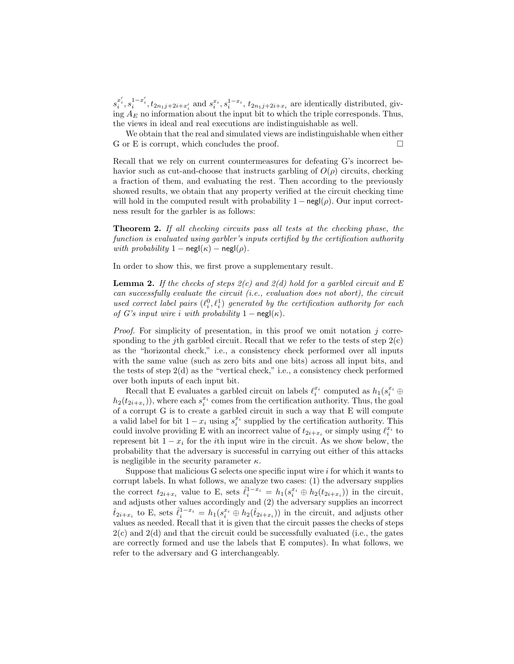$s_i^{x_i'}, s_i^{1-x_i'}, t_{2n_1j+2i+x_i'}$  and  $s_i^{x_i}, s_i^{1-x_i}, t_{2n_1j+2i+x_i}$  are identically distributed, giving  $A_E$  no information about the input bit to which the triple corresponds. Thus, the views in ideal and real executions are indistinguishable as well.

We obtain that the real and simulated views are indistinguishable when either G or E is corrupt, which concludes the proof.

Recall that we rely on current countermeasures for defeating G's incorrect behavior such as cut-and-choose that instructs garbling of  $O(\rho)$  circuits, checking a fraction of them, and evaluating the rest. Then according to the previously showed results, we obtain that any property verified at the circuit checking time will hold in the computed result with probability  $1 - \frac{neg(\rho)}{n}$ . Our input correctness result for the garbler is as follows:

Theorem 2. If all checking circuits pass all tests at the checking phase, the function is evaluated using garbler's inputs certified by the certification authority with probability  $1 - \text{negl}(\kappa) - \text{negl}(\rho)$ .

In order to show this, we first prove a supplementary result.

**Lemma 2.** If the checks of steps  $2(c)$  and  $2(d)$  hold for a garbled circuit and E can successfully evaluate the circuit (i.e., evaluation does not abort), the circuit used correct label pairs  $(\ell_i^0, \ell_i^1)$  generated by the certification authority for each of G's input wire i with probability  $1 - \text{negl}(\kappa)$ .

Proof. For simplicity of presentation, in this proof we omit notation j corresponding to the *j*th garbled circuit. Recall that we refer to the tests of step  $2(c)$ as the "horizontal check," i.e., a consistency check performed over all inputs with the same value (such as zero bits and one bits) across all input bits, and the tests of step 2(d) as the "vertical check," i.e., a consistency check performed over both inputs of each input bit.

Recall that E evaluates a garbled circuit on labels  $\ell_i^{x_i}$  computed as  $h_1(s_i^{x_i} \oplus$  $h_2(t_{2i+x_i})$ , where each  $s_i^{x_i}$  comes from the certification authority. Thus, the goal of a corrupt G is to create a garbled circuit in such a way that E will compute a valid label for bit  $1 - x_i$  using  $s_i^{x_i}$  supplied by the certification authority. This could involve providing E with an incorrect value of  $t_{2i+x_i}$  or simply using  $\ell_i^{x_i}$  to represent bit  $1 - x_i$  for the *i*th input wire in the circuit. As we show below, the probability that the adversary is successful in carrying out either of this attacks is negligible in the security parameter  $\kappa$ .

Suppose that malicious  $G$  selects one specific input wire  $i$  for which it wants to corrupt labels. In what follows, we analyze two cases: (1) the adversary supplies the correct  $t_{2i+x_i}$  value to E, sets  $\hat{\ell}_i^{1-x_i} = h_1(s_i^{x_i} \oplus h_2(t_{2i+x_i}))$  in the circuit, and adjusts other values accordingly and (2) the adversary supplies an incorrect  $\hat{t}_{2i+x_i}$  to E, sets  $\hat{\ell}_i^{1-x_i} = h_1(s_i^{x_i} \oplus h_2(\hat{t}_{2i+x_i}))$  in the circuit, and adjusts other values as needed. Recall that it is given that the circuit passes the checks of steps  $2(c)$  and  $2(d)$  and that the circuit could be successfully evaluated (i.e., the gates are correctly formed and use the labels that E computes). In what follows, we refer to the adversary and G interchangeably.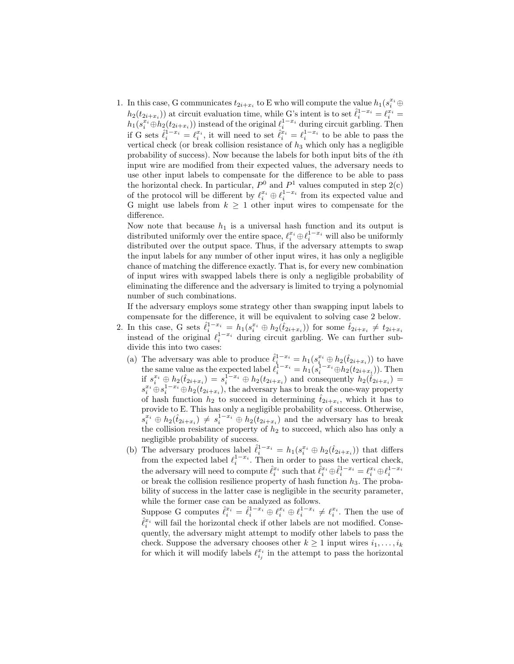1. In this case, G communicates  $t_{2i+x_i}$  to E who will compute the value  $h_1(s_i^{x_i} \oplus$  $h_2(t_{2i+x_i})$ ) at circuit evaluation time, while G's intent is to set  $\hat{\ell}_i^{1-x_i} = \ell_i^{x_i} =$  $h_1(s_i^{x_i} \oplus h_2(t_{2i+x_i}))$  instead of the original  $\ell_i^{1-x_i}$  during circuit garbling. Then if G sets  $\hat{\ell}_i^{1-x_i} = \ell_i^{x_i}$ , it will need to set  $\hat{\ell}_i^{x_i} = \ell_i^{1-x_i}$  to be able to pass the vertical check (or break collision resistance of  $h_3$  which only has a negligible probability of success). Now because the labels for both input bits of the ith input wire are modified from their expected values, the adversary needs to use other input labels to compensate for the difference to be able to pass the horizontal check. In particular,  $P^0$  and  $P^1$  values computed in step  $2(c)$ of the protocol will be different by  $\ell_i^{x_i} \oplus \ell_i^{1-x_i}$  from its expected value and G might use labels from  $k \geq 1$  other input wires to compensate for the difference.

Now note that because  $h_1$  is a universal hash function and its output is distributed uniformly over the entire space,  $\ell_i^{x_i} \oplus \ell_i^{1-x_i}$  will also be uniformly distributed over the output space. Thus, if the adversary attempts to swap the input labels for any number of other input wires, it has only a negligible chance of matching the difference exactly. That is, for every new combination of input wires with swapped labels there is only a negligible probability of eliminating the difference and the adversary is limited to trying a polynomial number of such combinations.

If the adversary employs some strategy other than swapping input labels to compensate for the difference, it will be equivalent to solving case 2 below.

- 2. In this case, G sets  $\hat{\ell}_i^{1-x_i} = h_1(s_i^{x_i} \oplus h_2(\hat{t}_{2i+x_i}))$  for some  $\hat{t}_{2i+x_i} \neq t_{2i+x_i}$ instead of the original  $\ell_i^{1-x_i}$  during circuit garbling. We can further subdivide this into two cases:
	- (a) The adversary was able to produce  $\hat{\ell}_i^{1-x_i} = h_1(s_i^{x_i} \oplus h_2(\hat{t}_{2i+x_i}))$  to have the same value as the expected label  $\ell_i^{1-x_i} = h_1(s_i^{1-x_i} \oplus h_2(t_{2i+x_i}))$ . Then if  $s_i^{x_i} \oplus h_2(\hat{t}_{2i+x_i}) = s_i^{1-x_i} \oplus h_2(t_{2i+x_i})$  and consequently  $h_2(\hat{t}_{2i+x_i}) =$  $s_i^{x_i} \oplus s_i^{1-x_i} \oplus h_2(t_{2i+x_i})$ , the adversary has to break the one-way property of hash function  $h_2$  to succeed in determining  $\hat{t}_{2i+x_i}$ , which it has to provide to E. This has only a negligible probability of success. Otherwise,  $s_i^{x_i} \oplus h_2(\hat{t}_{2i+x_i}) \neq s_i^{1-x_i} \oplus h_2(\hat{t}_{2i+x_i})$  and the adversary has to break the collision resistance property of  $h_2$  to succeed, which also has only a negligible probability of success.
	- (b) The adversary produces label  $\hat{\ell}_i^{1-x_i} = h_1(s_i^x \oplus h_2(\hat{t}_{2i+x_i}))$  that differs from the expected label  $\ell_i^{1-x_i}$ . Then in order to pass the vertical check, the adversary will need to compute  $\hat{\ell}_i^{x_i}$  such that  $\hat{\ell}_i^{x_i} \oplus \hat{\ell}_i^{1-x_i} = \ell_i^{x_i} \oplus \ell_i^{1-x_i}$ or break the collision resilience property of hash function  $h_3$ . The probability of success in the latter case is negligible in the security parameter, while the former case can be analyzed as follows. Suppose G computes  $\hat{\ell}_i^{x_i} = \hat{\ell}_i^{1-x_i} \oplus \ell_i^{x_i} \oplus \ell_i^{1-x_i} \neq \ell_i^{x_i}$ . Then the use of

 $\hat{\ell}_i^{x_i}$  will fail the horizontal check if other labels are not modified. Consequently, the adversary might attempt to modify other labels to pass the check. Suppose the adversary chooses other  $k \geq 1$  input wires  $i_1, \ldots, i_k$ for which it will modify labels  $\ell_{i_j}^{x_i}$  in the attempt to pass the horizontal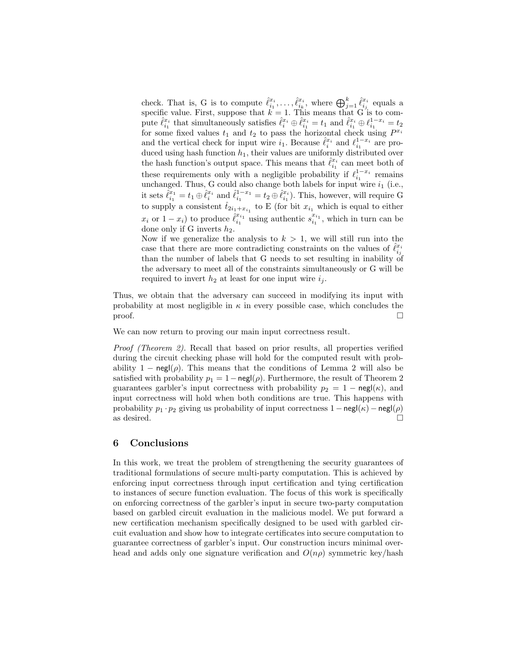check. That is, G is to compute  $\hat{\ell}_{i_1}^{x_i}, \ldots, \hat{\ell}_{i_k}^{x_i}$ , where  $\bigoplus_{j=1}^k \hat{\ell}_{i_j}^{x_i}$  equals a specific value. First, suppose that  $k = 1$ . This means that G is to compute  $\hat{\ell}_{i_1}^{x_i}$  that simultaneously satisfies  $\hat{\ell}_i^{x_i} \oplus \hat{\ell}_{i_1}^{x_i} = t_1$  and  $\hat{\ell}_{i_1}^{x_i} \oplus \ell_{i_1}^{1-x_i} = t_2$ for some fixed values  $t_1$  and  $t_2$  to pass the horizontal check using  $P^{x_i}$ and the vertical check for input wire  $i_1$ . Because  $\hat{\ell}_i^{x_i}$  and  $\ell_{i_1}^{1-x_i}$  are produced using hash function  $h_1$ , their values are uniformly distributed over the hash function's output space. This means that  $\hat{\ell}_{i_1}^{x_i}$  can meet both of these requirements only with a negligible probability if  $\ell_{i_1}^{1-x_i}$  remains unchanged. Thus, G could also change both labels for input wire  $i_1$  (i.e., it sets  $\hat{\ell}_{i_1}^{x_1} = t_1 \oplus \hat{\ell}_i^{x_i}$  and  $\hat{\ell}_{i_1}^{1-x_1} = t_2 \oplus \hat{\ell}_{i_1}^{x_i}$ ). This, however, will require G to supply a consistent  $\hat{t}_{2i_1+x_{i_1}}$  to E (for bit  $x_{i_1}$  which is equal to either  $x_i$  or  $1 - x_i$ ) to produce  $\hat{\ell}_{i_1}^{x_{i_1}}$  using authentic  $s_{i_1}^{x_{i_1}}$ , which in turn can be done only if G inverts  $h_2$ . Now if we generalize the analysis to  $k > 1$ , we will still run into the

case that there are more contradicting constraints on the values of  $\hat{\ell}_{i_j}^{x_i}$ than the number of labels that G needs to set resulting in inability of the adversary to meet all of the constraints simultaneously or G will be required to invert  $h_2$  at least for one input wire  $i_j$ .

Thus, we obtain that the adversary can succeed in modifying its input with probability at most negligible in  $\kappa$  in every possible case, which concludes the  $\Box$ 

We can now return to proving our main input correctness result.

Proof (Theorem 2). Recall that based on prior results, all properties verified during the circuit checking phase will hold for the computed result with probability 1 – negl $(\rho)$ . This means that the conditions of Lemma 2 will also be satisfied with probability  $p_1 = 1 - \text{negl}(\rho)$ . Furthermore, the result of Theorem 2 guarantees garbler's input correctness with probability  $p_2 = 1 - \text{negl}(\kappa)$ , and input correctness will hold when both conditions are true. This happens with probability  $p_1 \cdot p_2$  giving us probability of input correctness  $1 - \text{negl}(\kappa) - \text{negl}(\rho)$ as desired.  $\square$ 

#### 6 Conclusions

In this work, we treat the problem of strengthening the security guarantees of traditional formulations of secure multi-party computation. This is achieved by enforcing input correctness through input certification and tying certification to instances of secure function evaluation. The focus of this work is specifically on enforcing correctness of the garbler's input in secure two-party computation based on garbled circuit evaluation in the malicious model. We put forward a new certification mechanism specifically designed to be used with garbled circuit evaluation and show how to integrate certificates into secure computation to guarantee correctness of garbler's input. Our construction incurs minimal overhead and adds only one signature verification and  $O(n\rho)$  symmetric key/hash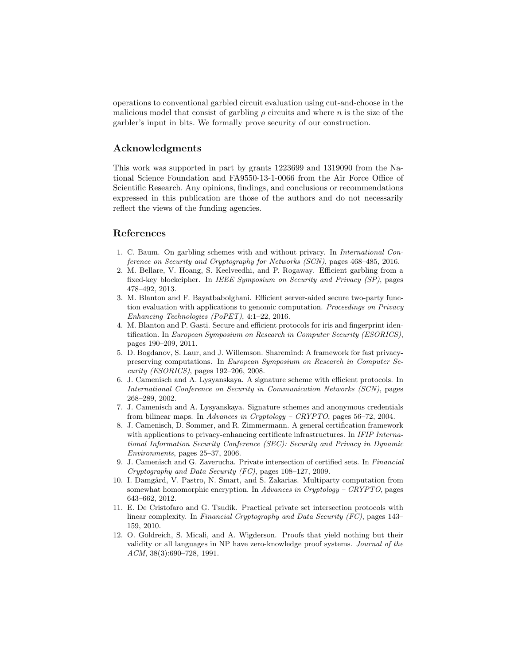operations to conventional garbled circuit evaluation using cut-and-choose in the malicious model that consist of garbling  $\rho$  circuits and where n is the size of the garbler's input in bits. We formally prove security of our construction.

#### Acknowledgments

This work was supported in part by grants 1223699 and 1319090 from the National Science Foundation and FA9550-13-1-0066 from the Air Force Office of Scientific Research. Any opinions, findings, and conclusions or recommendations expressed in this publication are those of the authors and do not necessarily reflect the views of the funding agencies.

### References

- 1. C. Baum. On garbling schemes with and without privacy. In International Conference on Security and Cryptography for Networks (SCN), pages 468–485, 2016.
- 2. M. Bellare, V. Hoang, S. Keelveedhi, and P. Rogaway. Efficient garbling from a fixed-key blockcipher. In IEEE Symposium on Security and Privacy (SP), pages 478–492, 2013.
- 3. M. Blanton and F. Bayatbabolghani. Efficient server-aided secure two-party function evaluation with applications to genomic computation. Proceedings on Privacy Enhancing Technologies (PoPET), 4:1–22, 2016.
- 4. M. Blanton and P. Gasti. Secure and efficient protocols for iris and fingerprint identification. In European Symposium on Research in Computer Security (ESORICS), pages 190–209, 2011.
- 5. D. Bogdanov, S. Laur, and J. Willemson. Sharemind: A framework for fast privacypreserving computations. In European Symposium on Research in Computer Security (ESORICS), pages 192–206, 2008.
- 6. J. Camenisch and A. Lysyanskaya. A signature scheme with efficient protocols. In International Conference on Security in Communication Networks (SCN), pages 268–289, 2002.
- 7. J. Camenisch and A. Lysyanskaya. Signature schemes and anonymous credentials from bilinear maps. In Advances in Cryptology – CRYPTO, pages  $56-72$ , 2004.
- 8. J. Camenisch, D. Sommer, and R. Zimmermann. A general certification framework with applications to privacy-enhancing certificate infrastructures. In IFIP International Information Security Conference (SEC): Security and Privacy in Dynamic Environments, pages 25–37, 2006.
- 9. J. Camenisch and G. Zaverucha. Private intersection of certified sets. In Financial Cryptography and Data Security (FC), pages 108–127, 2009.
- 10. I. Damgård, V. Pastro, N. Smart, and S. Zakarias. Multiparty computation from somewhat homomorphic encryption. In Advances in Cryptology – CRYPTO, pages 643–662, 2012.
- 11. E. De Cristofaro and G. Tsudik. Practical private set intersection protocols with linear complexity. In Financial Cryptography and Data Security (FC), pages 143– 159, 2010.
- 12. O. Goldreich, S. Micali, and A. Wigderson. Proofs that yield nothing but their validity or all languages in NP have zero-knowledge proof systems. Journal of the ACM, 38(3):690–728, 1991.